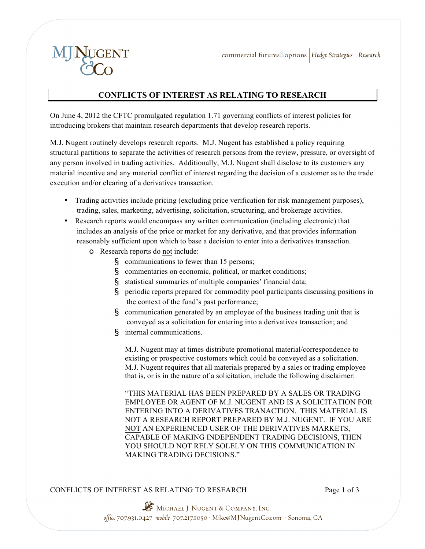

## **CONFLICTS OF INTEREST AS RELATING TO RESEARCH**

On June 4, 2012 the CFTC promulgated regulation 1.71 governing conflicts of interest policies for introducing brokers that maintain research departments that develop research reports.

M.J. Nugent routinely develops research reports. M.J. Nugent has established a policy requiring structural partitions to separate the activities of research persons from the review, pressure, or oversight of any person involved in trading activities. Additionally, M.J. Nugent shall disclose to its customers any material incentive and any material conflict of interest regarding the decision of a customer as to the trade execution and/or clearing of a derivatives transaction.

- Trading activities include pricing (excluding price verification for risk management purposes), trading, sales, marketing, advertising, solicitation, structuring, and brokerage activities.
- Research reports would encompass any written communication (including electronic) that includes an analysis of the price or market for any derivative, and that provides information reasonably sufficient upon which to base a decision to enter into a derivatives transaction.
	- o Research reports do not include:
		- § communications to fewer than 15 persons;
		- § commentaries on economic, political, or market conditions;
		- § statistical summaries of multiple companies' financial data;
		- § periodic reports prepared for commodity pool participants discussing positions in the context of the fund's past performance;
		- § communication generated by an employee of the business trading unit that is conveyed as a solicitation for entering into a derivatives transaction; and
		- § internal communications.

M.J. Nugent may at times distribute promotional material/correspondence to existing or prospective customers which could be conveyed as a solicitation. M.J. Nugent requires that all materials prepared by a sales or trading employee that is, or is in the nature of a solicitation, include the following disclaimer:

"THIS MATERIAL HAS BEEN PREPARED BY A SALES OR TRADING EMPLOYEE OR AGENT OF M.J. NUGENT AND IS A SOLICITATION FOR ENTERING INTO A DERIVATIVES TRANACTION. THIS MATERIAL IS NOT A RESEARCH REPORT PREPARED BY M.J. NUGENT. IF YOU ARE NOT AN EXPERIENCED USER OF THE DERIVATIVES MARKETS, CAPABLE OF MAKING INDEPENDENT TRADING DECISIONS, THEN YOU SHOULD NOT RELY SOLELY ON THIS COMMUNICATION IN MAKING TRADING DECISIONS."

## CONFLICTS OF INTEREST AS RELATING TO RESEARCH Page 1 of 3

MICHAEL J. NUGENT & COMPANY, INC. office 707.931.0427 mobile 707.217.1050 · Mike@MJNugentCo.com · Sonoma, CA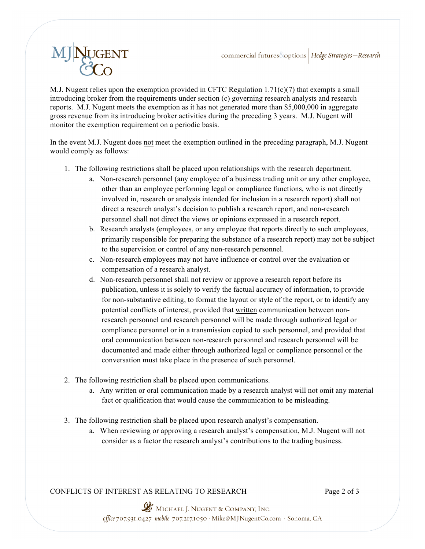

M.J. Nugent relies upon the exemption provided in CFTC Regulation 1.71( $c$ )(7) that exempts a small introducing broker from the requirements under section (c) governing research analysts and research reports. M.J. Nugent meets the exemption as it has not generated more than \$5,000,000 in aggregate gross revenue from its introducing broker activities during the preceding 3 years. M.J. Nugent will monitor the exemption requirement on a periodic basis.

In the event M.J. Nugent does not meet the exemption outlined in the preceding paragraph, M.J. Nugent would comply as follows:

- 1. The following restrictions shall be placed upon relationships with the research department.
	- a. Non-research personnel (any employee of a business trading unit or any other employee, other than an employee performing legal or compliance functions, who is not directly involved in, research or analysis intended for inclusion in a research report) shall not direct a research analyst's decision to publish a research report, and non-research personnel shall not direct the views or opinions expressed in a research report.
	- b. Research analysts (employees, or any employee that reports directly to such employees, primarily responsible for preparing the substance of a research report) may not be subject to the supervision or control of any non-research personnel.
	- c. Non-research employees may not have influence or control over the evaluation or compensation of a research analyst.
	- d. Non-research personnel shall not review or approve a research report before its publication, unless it is solely to verify the factual accuracy of information, to provide for non-substantive editing, to format the layout or style of the report, or to identify any potential conflicts of interest, provided that written communication between nonresearch personnel and research personnel will be made through authorized legal or compliance personnel or in a transmission copied to such personnel, and provided that oral communication between non-research personnel and research personnel will be documented and made either through authorized legal or compliance personnel or the conversation must take place in the presence of such personnel.
- 2. The following restriction shall be placed upon communications.
	- a. Any written or oral communication made by a research analyst will not omit any material fact or qualification that would cause the communication to be misleading.
- 3. The following restriction shall be placed upon research analyst's compensation.
	- a. When reviewing or approving a research analyst's compensation, M.J. Nugent will not consider as a factor the research analyst's contributions to the trading business.

CONFLICTS OF INTEREST AS RELATING TO RESEARCH Page 2 of 3

MICHAEL J. NUGENT & COMPANY, INC.<br>office 707.931.0427 mobile 707.217.1050 · Mike@MJNugentCo.com · Sonoma, CA